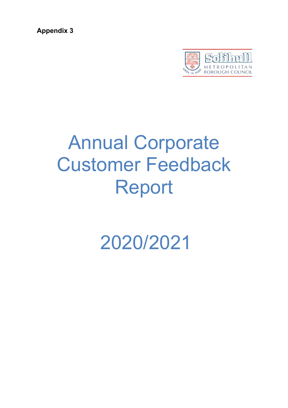**Appendix 3**



# Annual Corporate Customer Feedback Report

2020/2021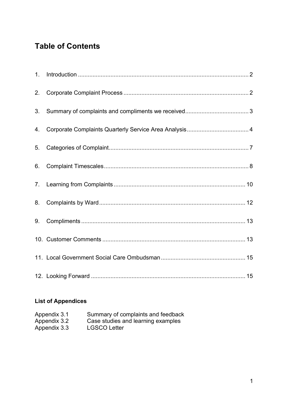## **Table of Contents**

| 1. |  |
|----|--|
| 2. |  |
| 3. |  |
| 4. |  |
| 5. |  |
| 6. |  |
|    |  |
| 8. |  |
| 9. |  |
|    |  |
|    |  |
|    |  |

### **List of Appendices**

| Appendix 3.1 | Summary of complaints and feedback |
|--------------|------------------------------------|
| Appendix 3.2 | Case studies and learning examples |
| Appendix 3.3 | <b>LGSCO Letter</b>                |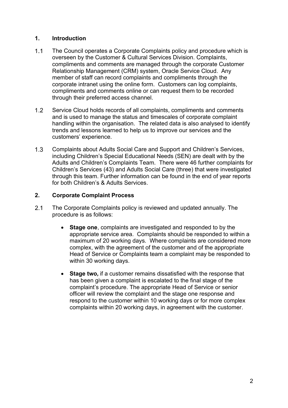#### <span id="page-2-0"></span>**1. Introduction**

- $1.1$ The Council operates a Corporate Complaints policy and procedure which is overseen by the Customer & Cultural Services Division. Complaints, compliments and comments are managed through the corporate Customer Relationship Management (CRM) system, Oracle Service Cloud. Any member of staff can record complaints and compliments through the corporate intranet using the online form. Customers can log complaints, compliments and comments online or can request them to be recorded through their preferred access channel.
- $1.2$ Service Cloud holds records of all complaints, compliments and comments and is used to manage the status and timescales of corporate complaint handling within the organisation. The related data is also analysed to identify trends and lessons learned to help us to improve our services and the customers' experience.
- $1.3$ Complaints about Adults Social Care and Support and Children's Services, including Children's Special Educational Needs (SEN) are dealt with by the Adults and Children's Complaints Team. There were 46 further complaints for Children's Services (43) and Adults Social Care (three) that were investigated through this team. Further information can be found in the end of year reports for both Children's & Adults Services.

#### <span id="page-2-1"></span>**2. Corporate Complaint Process**

- $2.1$ The Corporate Complaints policy is reviewed and updated annually. The procedure is as follows:
	- **Stage one**, complaints are investigated and responded to by the appropriate service area. Complaints should be responded to within a maximum of 20 working days. Where complaints are considered more complex, with the agreement of the customer and of the appropriate Head of Service or Complaints team a complaint may be responded to within 30 working days.
	- **Stage two,** if a customer remains dissatisfied with the response that has been given a complaint is escalated to the final stage of the complaint's procedure. The appropriate Head of Service or senior officer will review the complaint and the stage one response and respond to the customer within 10 working days or for more complex complaints within 20 working days, in agreement with the customer.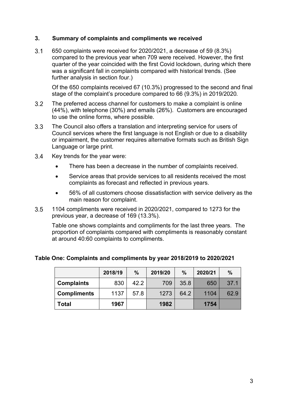#### <span id="page-3-0"></span>**3. Summary of complaints and compliments we received**

 $3.1$ 650 complaints were received for 2020/2021, a decrease of 59 (8.3%) compared to the previous year when 709 were received. However, the first quarter of the year coincided with the first Covid lockdown, during which there was a significant fall in complaints compared with historical trends. (See further analysis in section four.)

Of the 650 complaints received 67 (10.3%) progressed to the second and final stage of the complaint's procedure compared to 66 (9.3%) in 2019/2020.

- $3.2$ The preferred access channel for customers to make a complaint is online (44%), with telephone (30%) and emails (26%). Customers are encouraged to use the online forms, where possible.
- The Council also offers a translation and interpreting service for users of  $3.3$ Council services where the first language is not English or due to a disability or impairment, the customer requires alternative formats such as British Sign Language or large print.
- $3.4$ Key trends for the year were:
	- There has been a decrease in the number of complaints received.
	- Service areas that provide services to all residents received the most complaints as forecast and reflected in previous years.
	- 56% of all customers choose dissatisfaction with service delivery as the main reason for complaint.
- $3.5$ 1104 compliments were received in 2020/2021, compared to 1273 for the previous year, a decrease of 169 (13.3%).

Table one shows complaints and compliments for the last three years. The proportion of complaints compared with compliments is reasonably constant at around 40:60 complaints to compliments.

**Table One: Complaints and compliments by year 2018/2019 to 2020/2021**

|                    | 2018/19 | $\%$ | 2019/20 | $\%$ | 2020/21 | $\frac{0}{0}$ |
|--------------------|---------|------|---------|------|---------|---------------|
| <b>Complaints</b>  | 830     | 42.2 | 709     | 35.8 | 650     | 37.1          |
| <b>Compliments</b> | 1137    | 57.8 | 1273    | 64.2 | 1104    | 62.9          |
| Total              | 1967    |      | 1982    |      | 1754    |               |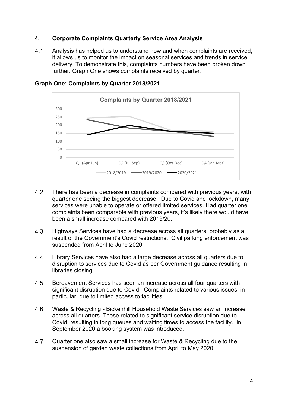#### <span id="page-4-0"></span>**4. Corporate Complaints Quarterly Service Area Analysis**

 $4.1$ Analysis has helped us to understand how and when complaints are received, it allows us to monitor the impact on seasonal services and trends in service delivery. To demonstrate this, complaints numbers have been broken down further. Graph One shows complaints received by quarter.



#### **Graph One: Complaints by Quarter 2018/2021**

- 4.2 There has been a decrease in complaints compared with previous years, with quarter one seeing the biggest decrease. Due to Covid and lockdown, many services were unable to operate or offered limited services. Had quarter one complaints been comparable with previous years, it's likely there would have been a small increase compared with 2019/20.
- $4.3$ Highways Services have had a decrease across all quarters, probably as a result of the Government's Covid restrictions. Civil parking enforcement was suspended from April to June 2020.
- 4.4 Library Services have also had a large decrease across all quarters due to disruption to services due to Covid as per Government guidance resulting in libraries closing.
- 4.5 Bereavement Services has seen an increase across all four quarters with significant disruption due to Covid. Complaints related to various issues, in particular, due to limited access to facilities.
- Waste & Recycling Bickenhill Household Waste Services saw an increase 4.6 across all quarters. These related to significant service disruption due to Covid, resulting in long queues and waiting times to access the facility. In September 2020 a booking system was introduced.
- 4.7 Quarter one also saw a small increase for Waste & Recycling due to the suspension of garden waste collections from April to May 2020.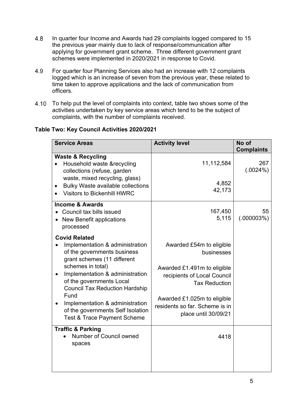- 4.8 In quarter four Income and Awards had 29 complaints logged compared to 15 the previous year mainly due to lack of response/communication after applying for government grant scheme. Three different government grant schemes were implemented in 2020/2021 in response to Covid.
- 4.9 For quarter four Planning Services also had an increase with 12 complaints logged which is an increase of seven from the previous year, these related to time taken to approve applications and the lack of communication from officers.
- To help put the level of complaints into context, table two shows some of the activities undertaken by key service areas which tend to be the subject of complaints, with the number of complaints received.

#### **Table Two: Key Council Activities 2020/2021**

| <b>Service Areas</b>                                                                                                                                                                                                                                                                                                                                                         | <b>Activity level</b>                                                                                                                                                                                                 | No of<br><b>Complaints</b> |
|------------------------------------------------------------------------------------------------------------------------------------------------------------------------------------------------------------------------------------------------------------------------------------------------------------------------------------------------------------------------------|-----------------------------------------------------------------------------------------------------------------------------------------------------------------------------------------------------------------------|----------------------------|
| <b>Waste &amp; Recycling</b><br>Household waste &recycling<br>collections (refuse, garden<br>waste, mixed recycling, glass)<br><b>Bulky Waste available collections</b><br><b>Visitors to Bickenhill HWRC</b>                                                                                                                                                                | 11,112,584<br>4,852<br>42,173                                                                                                                                                                                         | 267<br>(.0024%)            |
| <b>Income &amp; Awards</b><br>Council tax bills issued<br>• New Benefit applications<br>processed                                                                                                                                                                                                                                                                            | 167,450<br>5,115                                                                                                                                                                                                      | 55<br>(.000003%)           |
| <b>Covid Related</b><br>Implementation & administration<br>of the governments business<br>grant schemes (11 different<br>schemes in total)<br>Implementation & administration<br>of the governments Local<br><b>Council Tax Reduction Hardship</b><br>Fund<br>Implementation & administration<br>of the governments Self Isolation<br><b>Test &amp; Trace Payment Scheme</b> | Awarded £54m to eligible<br>businesses<br>Awarded £1.491m to eligible<br>recipients of Local Council<br><b>Tax Reduction</b><br>Awarded £1.025m to eligible<br>residents so far. Scheme is in<br>place until 30/09/21 |                            |
| <b>Traffic &amp; Parking</b><br>Number of Council owned<br>spaces                                                                                                                                                                                                                                                                                                            | 4418                                                                                                                                                                                                                  |                            |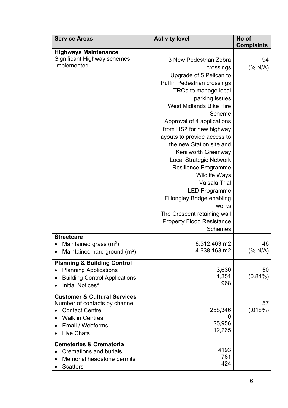| <b>Service Areas</b>                                                                                                                                                 | <b>Activity level</b>                                                                                                                                                                                                                                                                                                                                                                                                                                                                                                                                                                                        | No of<br><b>Complaints</b> |
|----------------------------------------------------------------------------------------------------------------------------------------------------------------------|--------------------------------------------------------------------------------------------------------------------------------------------------------------------------------------------------------------------------------------------------------------------------------------------------------------------------------------------------------------------------------------------------------------------------------------------------------------------------------------------------------------------------------------------------------------------------------------------------------------|----------------------------|
| <b>Highways Maintenance</b><br>Significant Highway schemes<br>implemented                                                                                            | 3 New Pedestrian Zebra<br>crossings<br>Upgrade of 5 Pelican to<br><b>Puffin Pedestrian crossings</b><br>TROs to manage local<br>parking issues<br><b>West Midlands Bike Hire</b><br>Scheme<br>Approval of 4 applications<br>from HS2 for new highway<br>layouts to provide access to<br>the new Station site and<br>Kenilworth Greenway<br><b>Local Strategic Network</b><br><b>Resilience Programme</b><br><b>Wildlife Ways</b><br>Vaisala Trial<br><b>LED Programme</b><br><b>Fillongley Bridge enabling</b><br>works<br>The Crescent retaining wall<br><b>Property Flood Resistance</b><br><b>Schemes</b> | 94<br>$(% )^{(1)}$ (% N/A) |
| <b>Streetcare</b><br>Maintained grass $(m2)$<br>Maintained hard ground $(m^2)$                                                                                       | 8,512,463 m2<br>4,638,163 m2                                                                                                                                                                                                                                                                                                                                                                                                                                                                                                                                                                                 | 46<br>(% N/A)              |
| <b>Planning &amp; Building Control</b><br><b>Planning Applications</b><br><b>Building Control Applications</b><br>Initial Notices*                                   | 3,630<br>1,351<br>968                                                                                                                                                                                                                                                                                                                                                                                                                                                                                                                                                                                        | 50<br>$(0.84\%)$           |
| <b>Customer &amp; Cultural Services</b><br>Number of contacts by channel<br><b>Contact Centre</b><br><b>Walk in Centres</b><br>Email / Webforms<br><b>Live Chats</b> | 258,346<br>O<br>25,956<br>12,265                                                                                                                                                                                                                                                                                                                                                                                                                                                                                                                                                                             | 57<br>(.018%)              |
| <b>Cemeteries &amp; Crematoria</b><br><b>Cremations and burials</b><br>Memorial headstone permits<br><b>Scatters</b>                                                 | 4193<br>761<br>424                                                                                                                                                                                                                                                                                                                                                                                                                                                                                                                                                                                           |                            |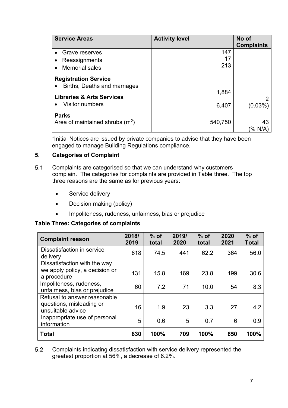| <b>Service Areas</b>                                        | <b>Activity level</b> | No of<br><b>Complaints</b> |
|-------------------------------------------------------------|-----------------------|----------------------------|
| Grave reserves<br>Reassignments                             | 147<br>17             |                            |
| <b>Memorial sales</b><br>$\bullet$                          | 213                   |                            |
| <b>Registration Service</b><br>Births, Deaths and marriages |                       |                            |
| <b>Libraries &amp; Arts Services</b>                        | 1,884                 | 2                          |
| <b>Visitor numbers</b><br>$\bullet$                         | 6,407                 | $(0.03\%)$                 |
| <b>Parks</b><br>Area of maintained shrubs $(m^2)$           | 540,750               | 43<br>(% N/A               |

\*Initial Notices are issued by private companies to advise that they have been engaged to manage Building Regulations compliance.

#### <span id="page-7-0"></span>**5. Categories of Complaint**

- $5.1$ Complaints are categorised so that we can understand why customers complain. The categories for complaints are provided in Table three. The top three reasons are the same as for previous years:
	- Service delivery
	- Decision making (policy)
	- Impoliteness, rudeness, unfairness, bias or prejudice

#### **Table Three: Categories of complaints**

| <b>Complaint reason</b>                                                       | 2018/<br>2019 | $%$ of<br>total | 2019/<br>2020 | $%$ of<br>total | 2020<br>2021 | $%$ of<br><b>Total</b> |
|-------------------------------------------------------------------------------|---------------|-----------------|---------------|-----------------|--------------|------------------------|
| Dissatisfaction in service<br>delivery                                        | 618           | 74.5            | 441           | 62.2            | 364          | 56.0                   |
| Dissatisfaction with the way<br>we apply policy, a decision or<br>a procedure | 131           | 15.8            | 169           | 23.8            | 199          | 30.6                   |
| Impoliteness, rudeness,<br>unfairness, bias or prejudice                      | 60            | 7.2             | 71            | 10.0            | 54           | 8.3                    |
| Refusal to answer reasonable<br>questions, misleading or<br>unsuitable advice | 16            | 1.9             | 23            | 3.3             | 27           | 4.2                    |
| Inappropriate use of personal<br>information                                  | 5             | 0.6             | 5             | 0.7             | 6            | 0.9                    |
| <b>Total</b>                                                                  | 830           | 100%            | 709           | 100%            | 650          | 100%                   |

 $5.2$ Complaints indicating dissatisfaction with service delivery represented the greatest proportion at 56%, a decrease of 6.2%.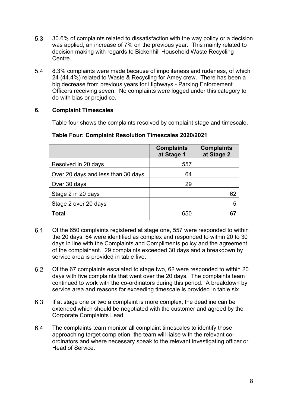- $5.3$ 30.6% of complaints related to dissatisfaction with the way policy or a decision was applied, an increase of 7% on the previous year. This mainly related to decision making with regards to Bickenhill Household Waste Recycling Centre.
- 5.4 8.3% complaints were made because of impoliteness and rudeness, of which 24 (44.4%) related to Waste & Recycling for Amey crew. There has been a big decrease from previous years for Highways - Parking Enforcement Officers receiving seven. No complaints were logged under this category to do with bias or prejudice.

#### <span id="page-8-0"></span>**6. Complaint Timescales**

Table four shows the complaints resolved by complaint stage and timescale.

|                                    | <b>Complaints</b><br>at Stage 1 | <b>Complaints</b><br>at Stage 2 |
|------------------------------------|---------------------------------|---------------------------------|
| Resolved in 20 days                | 557                             |                                 |
| Over 20 days and less than 30 days | 64                              |                                 |
| Over 30 days                       | 29                              |                                 |
| Stage 2 in 20 days                 |                                 | 62                              |
| Stage 2 over 20 days               |                                 | 5                               |
| <b>Total</b>                       | 650                             |                                 |

#### **Table Four: Complaint Resolution Timescales 2020/2021**

- $6.1$ Of the 650 complaints registered at stage one, 557 were responded to within the 20 days, 64 were identified as complex and responded to within 20 to 30 days in line with the Complaints and Compliments policy and the agreement of the complainant. 29 complaints exceeded 30 days and a breakdown by service area is provided in table five.
- $6.2$ Of the 67 complaints escalated to stage two, 62 were responded to within 20 days with five complaints that went over the 20 days. The complaints team continued to work with the co-ordinators during this period. A breakdown by service area and reasons for exceeding timescale is provided in table six.
- 6.3 If at stage one or two a complaint is more complex, the deadline can be extended which should be negotiated with the customer and agreed by the Corporate Complaints Lead.
- $6.4$ The complaints team monitor all complaint timescales to identify those approaching target completion, the team will liaise with the relevant coordinators and where necessary speak to the relevant investigating officer or Head of Service.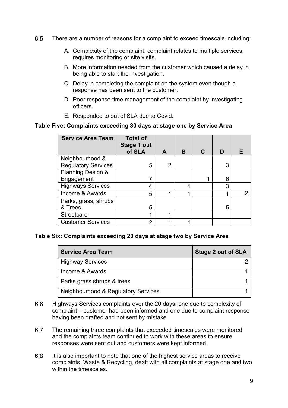- 6.5 There are a number of reasons for a complaint to exceed timescale including:
	- A. Complexity of the complaint: complaint relates to multiple services, requires monitoring or site visits.
	- B. More information needed from the customer which caused a delay in being able to start the investigation.
	- C. Delay in completing the complaint on the system even though a response has been sent to the customer.
	- D. Poor response time management of the complaint by investigating officers.
	- E. Responded to out of SLA due to Covid.

#### **Table Five: Complaints exceeding 30 days at stage one by Service Area**

| <b>Service Area Team</b>   | <b>Total of</b><br><b>Stage 1 out</b><br>of SLA | A              | в | C | D |   |
|----------------------------|-------------------------------------------------|----------------|---|---|---|---|
| Neighbourhood &            |                                                 |                |   |   |   |   |
| <b>Regulatory Services</b> | 5                                               | $\overline{2}$ |   |   | 3 |   |
| Planning Design &          |                                                 |                |   |   |   |   |
| Engagement                 |                                                 |                |   | 1 | 6 |   |
| <b>Highways Services</b>   | 4                                               |                | 4 |   | 3 |   |
| Income & Awards            | 5                                               |                | 4 |   | 1 | 2 |
| Parks, grass, shrubs       |                                                 |                |   |   |   |   |
| & Trees                    | 5                                               |                |   |   | 5 |   |
| <b>Streetcare</b>          | 1                                               | ◢              |   |   |   |   |
| <b>Customer Services</b>   | 2                                               |                | ◢ |   |   |   |

#### **Table Six: Complaints exceeding 20 days at stage two by Service Area**

| <b>Service Area Team</b>            | <b>Stage 2 out of SLA</b> |
|-------------------------------------|---------------------------|
| <b>Highway Services</b>             |                           |
| Income & Awards                     |                           |
| Parks grass shrubs & trees          |                           |
| Neighbourhood & Regulatory Services |                           |

- 6.6 Highways Services complaints over the 20 days: one due to complexity of complaint – customer had been informed and one due to complaint response having been drafted and not sent by mistake.
- 6.7 The remaining three complaints that exceeded timescales were monitored and the complaints team continued to work with these areas to ensure responses were sent out and customers were kept informed.
- $6.8$ It is also important to note that one of the highest service areas to receive complaints, Waste & Recycling, dealt with all complaints at stage one and two within the timescales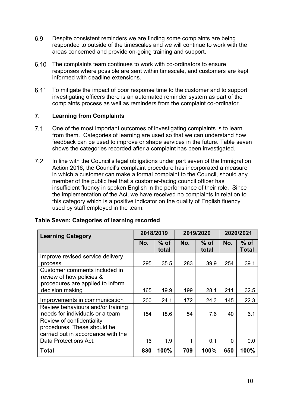- 6.9 Despite consistent reminders we are finding some complaints are being responded to outside of the timescales and we will continue to work with the areas concerned and provide on-going training and support.
- $6.10$ The complaints team continues to work with co-ordinators to ensure responses where possible are sent within timescale, and customers are kept informed with deadline extensions.
- 6.11 To mitigate the impact of poor response time to the customer and to support investigating officers there is an automated reminder system as part of the complaints process as well as reminders from the complaint co-ordinator.

#### <span id="page-10-0"></span>**7. Learning from Complaints**

- One of the most important outcomes of investigating complaints is to learn  $7.1$ from them. Categories of learning are used so that we can understand how feedback can be used to improve or shape services in the future. Table seven shows the categories recorded after a complaint has been investigated.
- $7.2$ In line with the Council's legal obligations under part seven of the Immigration Action 2016, the Council's complaint procedure has incorporated a measure in which a customer can make a formal complaint to the Council, should any member of the public feel that a customer-facing council officer has insufficient fluency in spoken English in the performance of their role. Since the implementation of the Act, we have received no complaints in relation to this category which is a positive indicator on the quality of English fluency used by staff employed in the team.

| <b>Learning Category</b>                                                                                                |     | 2018/2019       |     | 2019/2020       | 2020/2021 |                        |
|-------------------------------------------------------------------------------------------------------------------------|-----|-----------------|-----|-----------------|-----------|------------------------|
|                                                                                                                         | No. | $%$ of<br>total | No. | $%$ of<br>total | No.       | $%$ of<br><b>Total</b> |
| Improve revised service delivery                                                                                        |     |                 |     |                 |           |                        |
| process                                                                                                                 | 295 | 35.5            | 283 | 39.9            | 254       | 39.1                   |
| Customer comments included in<br>review of how policies &<br>procedures are applied to inform                           |     |                 |     |                 |           |                        |
| decision making                                                                                                         | 165 | 19.9            | 199 | 28.1            | 211       | 32.5                   |
| Improvements in communication                                                                                           | 200 | 24.1            | 172 | 24.3            | 145       | 22.3                   |
| Review behaviours and/or training<br>needs for individuals or a team                                                    | 154 | 18.6            | 54  | 7.6             | 40        | 6.1                    |
| Review of confidentiality<br>procedures. These should be<br>carried out in accordance with the<br>Data Protections Act. | 16  | 1.9             | 1   | 0.1             | 0         | 0.0                    |
| <b>Total</b>                                                                                                            | 830 | 100%            | 709 | 100%            | 650       | 100%                   |

#### **Table Seven: Categories of learning recorded**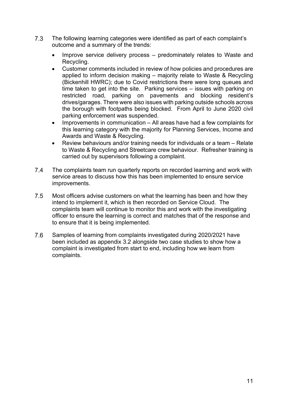- $7.3$ The following learning categories were identified as part of each complaint's outcome and a summary of the trends:
	- Improve service delivery process predominately relates to Waste and Recycling.
	- Customer comments included in review of how policies and procedures are applied to inform decision making – majority relate to Waste & Recycling (Bickenhill HWRC); due to Covid restrictions there were long queues and time taken to get into the site. Parking services – issues with parking on restricted road, parking on pavements and blocking resident's drives/garages. There were also issues with parking outside schools across the borough with footpaths being blocked. From April to June 2020 civil parking enforcement was suspended.
	- Improvements in communication All areas have had a few complaints for this learning category with the majority for Planning Services, Income and Awards and Waste & Recycling.
	- Review behaviours and/or training needs for individuals or a team Relate to Waste & Recycling and Streetcare crew behaviour. Refresher training is carried out by supervisors following a complaint.
- $7.4$ The complaints team run quarterly reports on recorded learning and work with service areas to discuss how this has been implemented to ensure service improvements.
- $7.5$ Most officers advise customers on what the learning has been and how they intend to implement it, which is then recorded on Service Cloud. The complaints team will continue to monitor this and work with the investigating officer to ensure the learning is correct and matches that of the response and to ensure that it is being implemented.
- 7.6 Samples of learning from complaints investigated during 2020/2021 have been included as appendix 3.2 alongside two case studies to show how a complaint is investigated from start to end, including how we learn from complaints.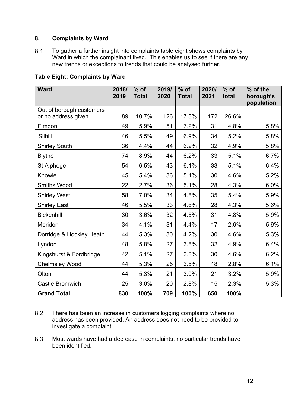#### <span id="page-12-0"></span>**8. Complaints by Ward**

 $8.1$ To gather a further insight into complaints table eight shows complaints by Ward in which the complainant lived. This enables us to see if there are any new trends or exceptions to trends that could be analysed further.

| <b>Ward</b>              | 2018/ | $%$ of       | 2019/ | $%$ of       | 2020/ | $%$ of | % of the                |
|--------------------------|-------|--------------|-------|--------------|-------|--------|-------------------------|
|                          | 2019  | <b>Total</b> | 2020  | <b>Total</b> | 2021  | total  | borough's<br>population |
| Out of borough customers |       |              |       |              |       |        |                         |
| or no address given      | 89    | 10.7%        | 126   | 17.8%        | 172   | 26.6%  |                         |
| Elmdon                   | 49    | 5.9%         | 51    | 7.2%         | 31    | 4.8%   | 5.8%                    |
| Silhill                  | 46    | 5.5%         | 49    | 6.9%         | 34    | 5.2%   | 5.8%                    |
| <b>Shirley South</b>     | 36    | 4.4%         | 44    | 6.2%         | 32    | 4.9%   | 5.8%                    |
| <b>Blythe</b>            | 74    | 8.9%         | 44    | 6.2%         | 33    | 5.1%   | 6.7%                    |
| St Alphege               | 54    | 6.5%         | 43    | 6.1%         | 33    | 5.1%   | 6.4%                    |
| Knowle                   | 45    | 5.4%         | 36    | 5.1%         | 30    | 4.6%   | 5.2%                    |
| <b>Smiths Wood</b>       | 22    | 2.7%         | 36    | 5.1%         | 28    | 4.3%   | 6.0%                    |
| <b>Shirley West</b>      | 58    | 7.0%         | 34    | 4.8%         | 35    | 5.4%   | 5.9%                    |
| <b>Shirley East</b>      | 46    | 5.5%         | 33    | 4.6%         | 28    | 4.3%   | 5.6%                    |
| <b>Bickenhill</b>        | 30    | 3.6%         | 32    | 4.5%         | 31    | 4.8%   | 5.9%                    |
| Meriden                  | 34    | 4.1%         | 31    | 4.4%         | 17    | 2.6%   | 5.9%                    |
| Dorridge & Hockley Heath | 44    | 5.3%         | 30    | 4.2%         | 30    | 4.6%   | 5.3%                    |
| Lyndon                   | 48    | 5.8%         | 27    | 3.8%         | 32    | 4.9%   | 6.4%                    |
| Kingshurst & Fordbridge  | 42    | 5.1%         | 27    | 3.8%         | 30    | 4.6%   | 6.2%                    |
| <b>Chelmsley Wood</b>    | 44    | 5.3%         | 25    | 3.5%         | 18    | 2.8%   | 6.1%                    |
| Olton                    | 44    | 5.3%         | 21    | 3.0%         | 21    | 3.2%   | 5.9%                    |
| <b>Castle Bromwich</b>   | 25    | 3.0%         | 20    | 2.8%         | 15    | 2.3%   | 5.3%                    |
| <b>Grand Total</b>       | 830   | 100%         | 709   | 100%         | 650   | 100%   |                         |

#### **Table Eight: Complaints by Ward**

- 8.2 There has been an increase in customers logging complaints where no address has been provided. An address does not need to be provided to investigate a complaint.
- 8.3 Most wards have had a decrease in complaints, no particular trends have been identified.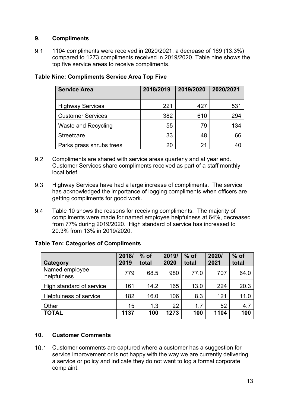#### <span id="page-13-0"></span>**9. Compliments**

 $9.1$ 1104 compliments were received in 2020/2021, a decrease of 169 (13.3%) compared to 1273 compliments received in 2019/2020. Table nine shows the top five service areas to receive compliments.

| <b>Service Area</b>        | 2018/2019 | 2019/2020 | 2020/2021 |
|----------------------------|-----------|-----------|-----------|
| <b>Highway Services</b>    | 221       | 427       | 531       |
| <b>Customer Services</b>   | 382       | 610       | 294       |
| <b>Waste and Recycling</b> | 55        | 79        | 134       |
| <b>Streetcare</b>          | 33        | 48        | 66        |
| Parks grass shrubs trees   |           | 21        |           |

#### **Table Nine: Compliments Service Area Top Five**

- 9.2 Compliments are shared with service areas quarterly and at year end. Customer Services share compliments received as part of a staff monthly local brief.
- 9.3 Highway Services have had a large increase of compliments. The service has acknowledged the importance of logging compliments when officers are getting compliments for good work.
- 94 Table 10 shows the reasons for receiving compliments. The majority of compliments were made for named employee helpfulness at 64%, decreased from 77% during 2019/2020. High standard of service has increased to 20.3% from 13% in 2019/2020.

#### **Table Ten: Categories of Compliments**

| <b>Category</b>               | 2018/<br>2019 | $%$ of<br>total | 2019/<br>2020 | $%$ of<br>total | 2020/<br>2021 | $%$ of<br>total |
|-------------------------------|---------------|-----------------|---------------|-----------------|---------------|-----------------|
| Named employee<br>helpfulness | 779           | 68.5            | 980           | 77.0            | 707           | 64.0            |
| High standard of service      | 161           | 14.2            | 165           | 13.0            | 224           | 20.3            |
| Helpfulness of service        | 182           | 16.0            | 106           | 8.3             | 121           | 11.0            |
| Other                         | 15            | 1.3             | 22            | 1.7             | 52            | 4.7             |
| <b>TOTAL</b>                  | 1137          | 100             | 1273          | 100             | 1104          | 100             |

#### <span id="page-13-1"></span>**10. Customer Comments**

10.1 Customer comments are captured where a customer has a suggestion for service improvement or is not happy with the way we are currently delivering a service or policy and indicate they do not want to log a formal corporate complaint.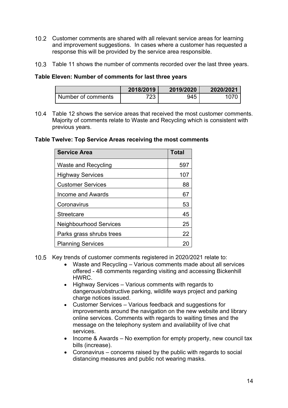- 10.2 Customer comments are shared with all relevant service areas for learning and improvement suggestions. In cases where a customer has requested a response this will be provided by the service area responsible.
- 10.3 Table 11 shows the number of comments recorded over the last three years.

#### **Table Eleven: Number of comments for last three years**

|                    | 2018/2019 | 2019/2020 | 2020/2021 |
|--------------------|-----------|-----------|-----------|
| Number of comments | 723.      | 945       |           |

Table 12 shows the service areas that received the most customer comments. Majority of comments relate to Waste and Recycling which is consistent with previous years.

#### **Table Twelve: Top Service Areas receiving the most comments**

| <b>Service Area</b>           | <b>Total</b> |
|-------------------------------|--------------|
| <b>Waste and Recycling</b>    | 597          |
| <b>Highway Services</b>       | 107          |
| <b>Customer Services</b>      | 88           |
| Income and Awards             | 67           |
| Coronavirus                   | 53           |
| Streetcare                    | 45           |
| <b>Neighbourhood Services</b> | 25           |
| Parks grass shrubs trees      | 22           |
| <b>Planning Services</b>      |              |

- 10.5 Key trends of customer comments registered in 2020/2021 relate to:
	- Waste and Recycling Various comments made about all services offered - 48 comments regarding visiting and accessing Bickenhill HWRC.
	- Highway Services Various comments with regards to dangerous/obstructive parking, wildlife ways project and parking charge notices issued.
	- Customer Services Various feedback and suggestions for improvements around the navigation on the new website and library online services. Comments with regards to waiting times and the message on the telephony system and availability of live chat services.
	- Income & Awards No exemption for empty property, new council tax bills (increase).
	- Coronavirus concerns raised by the public with regards to social distancing measures and public not wearing masks.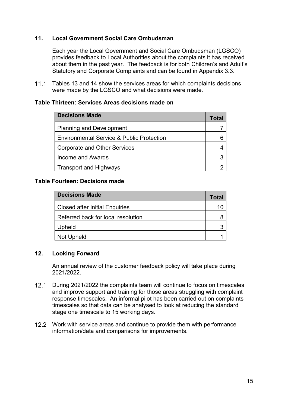#### <span id="page-15-0"></span>**11. Local Government Social Care Ombudsman**

Each year the Local Government and Social Care Ombudsman (LGSCO) provides feedback to Local Authorities about the complaints it has received about them in the past year. The feedback is for both Children's and Adult's Statutory and Corporate Complaints and can be found in Appendix 3.3.

 $11.1$ Tables 13 and 14 show the services areas for which complaints decisions were made by the LGSCO and what decisions were made.

#### **Table Thirteen: Services Areas decisions made on**

| <b>Decisions Made</b>                                | Total |
|------------------------------------------------------|-------|
| <b>Planning and Development</b>                      |       |
| <b>Environmental Service &amp; Public Protection</b> |       |
| Corporate and Other Services                         |       |
| <b>Income and Awards</b>                             |       |
| <b>Transport and Highways</b>                        |       |
|                                                      |       |

#### **Table Fourteen: Decisions made**

| <b>Decisions Made</b>                 | Total |
|---------------------------------------|-------|
| <b>Closed after Initial Enquiries</b> | 10    |
| Referred back for local resolution    |       |
| Upheld                                |       |
| Not Upheld                            |       |

#### <span id="page-15-1"></span>**12. Looking Forward**

An annual review of the customer feedback policy will take place during 2021/2022.

- 12.1 During 2021/2022 the complaints team will continue to focus on timescales and improve support and training for those areas struggling with complaint response timescales. An informal pilot has been carried out on complaints timescales so that data can be analysed to look at reducing the standard stage one timescale to 15 working days.
- $12.2$ Work with service areas and continue to provide them with performance information/data and comparisons for improvements.